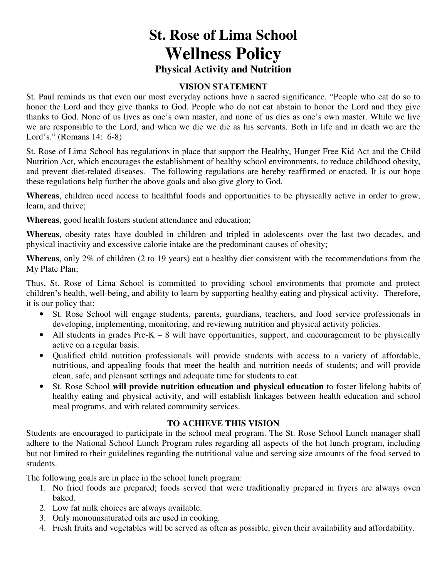# **St. Rose of Lima School Wellness Policy Physical Activity and Nutrition**

#### **VISION STATEMENT**

St. Paul reminds us that even our most everyday actions have a sacred significance. "People who eat do so to honor the Lord and they give thanks to God. People who do not eat abstain to honor the Lord and they give thanks to God. None of us lives as one's own master, and none of us dies as one's own master. While we live we are responsible to the Lord, and when we die we die as his servants. Both in life and in death we are the Lord's." (Romans 14: 6-8)

St. Rose of Lima School has regulations in place that support the Healthy, Hunger Free Kid Act and the Child Nutrition Act, which encourages the establishment of healthy school environments, to reduce childhood obesity, and prevent diet-related diseases. The following regulations are hereby reaffirmed or enacted. It is our hope these regulations help further the above goals and also give glory to God.

**Whereas**, children need access to healthful foods and opportunities to be physically active in order to grow, learn, and thrive;

**Whereas**, good health fosters student attendance and education;

**Whereas**, obesity rates have doubled in children and tripled in adolescents over the last two decades, and physical inactivity and excessive calorie intake are the predominant causes of obesity;

**Whereas**, only 2% of children (2 to 19 years) eat a healthy diet consistent with the recommendations from the My Plate Plan;

Thus, St. Rose of Lima School is committed to providing school environments that promote and protect children's health, well-being, and ability to learn by supporting healthy eating and physical activity. Therefore, it is our policy that:

- St. Rose School will engage students, parents, guardians, teachers, and food service professionals in developing, implementing, monitoring, and reviewing nutrition and physical activity policies.
- All students in grades  $Pre-K 8$  will have opportunities, support, and encouragement to be physically active on a regular basis.
- Qualified child nutrition professionals will provide students with access to a variety of affordable, nutritious, and appealing foods that meet the health and nutrition needs of students; and will provide clean, safe, and pleasant settings and adequate time for students to eat.
- St. Rose School **will provide nutrition education and physical education** to foster lifelong habits of healthy eating and physical activity, and will establish linkages between health education and school meal programs, and with related community services.

#### **TO ACHIEVE THIS VISION**

Students are encouraged to participate in the school meal program. The St. Rose School Lunch manager shall adhere to the National School Lunch Program rules regarding all aspects of the hot lunch program, including but not limited to their guidelines regarding the nutritional value and serving size amounts of the food served to students.

The following goals are in place in the school lunch program:

- 1. No fried foods are prepared; foods served that were traditionally prepared in fryers are always oven baked.
- 2. Low fat milk choices are always available.
- 3. Only monounsaturated oils are used in cooking.
- 4. Fresh fruits and vegetables will be served as often as possible, given their availability and affordability.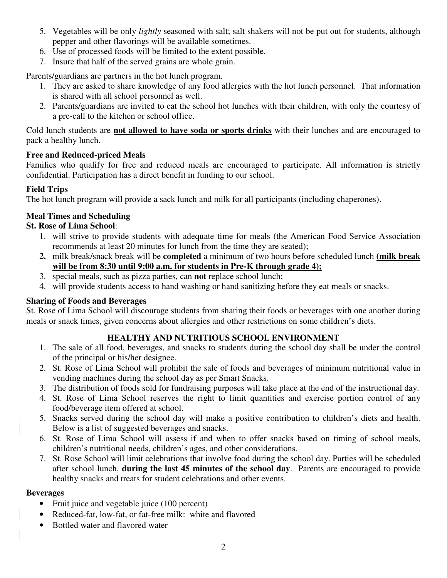- 5. Vegetables will be only *lightly* seasoned with salt; salt shakers will not be put out for students, although pepper and other flavorings will be available sometimes.
- 6. Use of processed foods will be limited to the extent possible.
- 7. Insure that half of the served grains are whole grain.

Parents/guardians are partners in the hot lunch program.

- 1. They are asked to share knowledge of any food allergies with the hot lunch personnel. That information is shared with all school personnel as well.
- 2. Parents/guardians are invited to eat the school hot lunches with their children, with only the courtesy of a pre-call to the kitchen or school office.

Cold lunch students are **not allowed to have soda or sports drinks** with their lunches and are encouraged to pack a healthy lunch.

# **Free and Reduced-priced Meals**

Families who qualify for free and reduced meals are encouraged to participate. All information is strictly confidential. Participation has a direct benefit in funding to our school.

# **Field Trips**

The hot lunch program will provide a sack lunch and milk for all participants (including chaperones).

# **Meal Times and Scheduling**

# **St. Rose of Lima School**:

- 1. will strive to provide students with adequate time for meals (the American Food Service Association recommends at least 20 minutes for lunch from the time they are seated);
- **2.** milk break/snack break will be **completed** a minimum of two hours before scheduled lunch **(milk break will be from 8:30 until 9:00 a.m. for students in Pre-K through grade 4);**
- 3. special meals, such as pizza parties, can **not** replace school lunch;
- 4. will provide students access to hand washing or hand sanitizing before they eat meals or snacks.

# **Sharing of Foods and Beverages**

St. Rose of Lima School will discourage students from sharing their foods or beverages with one another during meals or snack times, given concerns about allergies and other restrictions on some children's diets.

# **HEALTHY AND NUTRITIOUS SCHOOL ENVIRONMENT**

- 1. The sale of all food, beverages, and snacks to students during the school day shall be under the control of the principal or his/her designee.
- 2. St. Rose of Lima School will prohibit the sale of foods and beverages of minimum nutritional value in vending machines during the school day as per Smart Snacks.
- 3. The distribution of foods sold for fundraising purposes will take place at the end of the instructional day.
- 4. St. Rose of Lima School reserves the right to limit quantities and exercise portion control of any food/beverage item offered at school.
- 5. Snacks served during the school day will make a positive contribution to children's diets and health. Below is a list of suggested beverages and snacks.
- 6. St. Rose of Lima School will assess if and when to offer snacks based on timing of school meals, children's nutritional needs, children's ages, and other considerations.
- 7. St. Rose School will limit celebrations that involve food during the school day. Parties will be scheduled after school lunch, **during the last 45 minutes of the school day**. Parents are encouraged to provide healthy snacks and treats for student celebrations and other events.

## **Beverages**

- Fruit juice and vegetable juice (100 percent)
- Reduced-fat, low-fat, or fat-free milk: white and flavored
- Bottled water and flavored water